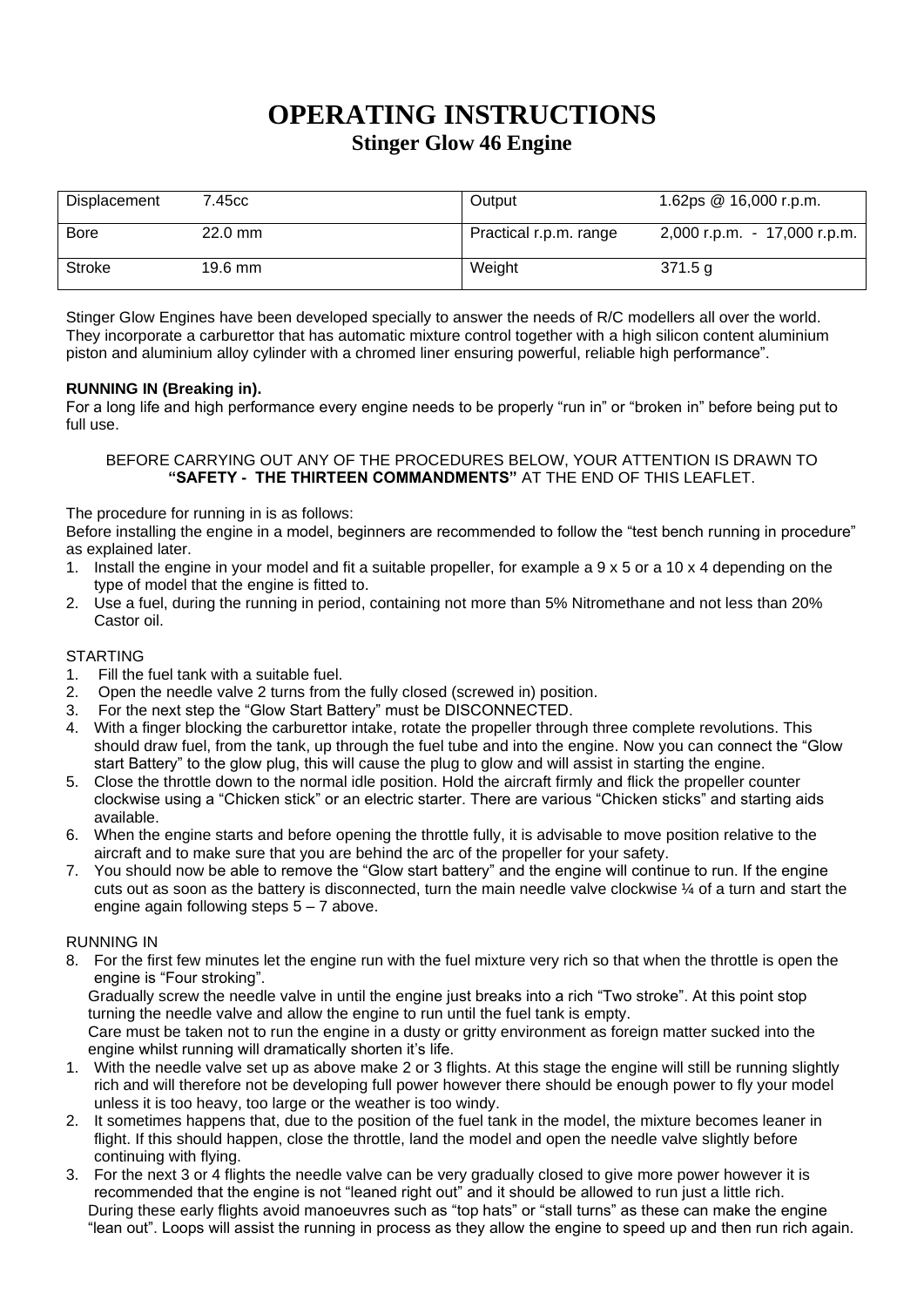# **OPERATING INSTRUCTIONS Stinger Glow 46 Engine**

| Displacement | 7.45cc            | Output                 | 1.62ps @ 16,000 r.p.m.       |
|--------------|-------------------|------------------------|------------------------------|
| <b>Bore</b>  | $22.0 \text{ mm}$ | Practical r.p.m. range | 2,000 r.p.m. - 17,000 r.p.m. |
| Stroke       | 19.6 mm           | Weight                 | 371.5 g                      |

Stinger Glow Engines have been developed specially to answer the needs of R/C modellers all over the world. They incorporate a carburettor that has automatic mixture control together with a high silicon content aluminium piston and aluminium alloy cylinder with a chromed liner ensuring powerful, reliable high performance".

## **RUNNING IN (Breaking in).**

For a long life and high performance every engine needs to be properly "run in" or "broken in" before being put to full use.

#### BEFORE CARRYING OUT ANY OF THE PROCEDURES BELOW, YOUR ATTENTION IS DRAWN TO **"SAFETY - THE THIRTEEN COMMANDMENTS"** AT THE END OF THIS LEAFLET.

The procedure for running in is as follows:

Before installing the engine in a model, beginners are recommended to follow the "test bench running in procedure" as explained later.

- 1. Install the engine in your model and fit a suitable propeller, for example a 9 x 5 or a 10 x 4 depending on the type of model that the engine is fitted to.
- 2. Use a fuel, during the running in period, containing not more than 5% Nitromethane and not less than 20% Castor oil.

### STARTING

- 1. Fill the fuel tank with a suitable fuel.
- 2. Open the needle valve 2 turns from the fully closed (screwed in) position.
- 3. For the next step the "Glow Start Battery" must be DISCONNECTED.
- 4. With a finger blocking the carburettor intake, rotate the propeller through three complete revolutions. This should draw fuel, from the tank, up through the fuel tube and into the engine. Now you can connect the "Glow start Battery" to the glow plug, this will cause the plug to glow and will assist in starting the engine.
- 5. Close the throttle down to the normal idle position. Hold the aircraft firmly and flick the propeller counter clockwise using a "Chicken stick" or an electric starter. There are various "Chicken sticks" and starting aids available.
- 6. When the engine starts and before opening the throttle fully, it is advisable to move position relative to the aircraft and to make sure that you are behind the arc of the propeller for your safety.
- 7. You should now be able to remove the "Glow start battery" and the engine will continue to run. If the engine cuts out as soon as the battery is disconnected, turn the main needle valve clockwise ¼ of a turn and start the engine again following steps  $5 - 7$  above.

### RUNNING IN

8. For the first few minutes let the engine run with the fuel mixture very rich so that when the throttle is open the engine is "Four stroking".

Gradually screw the needle valve in until the engine just breaks into a rich "Two stroke". At this point stop turning the needle valve and allow the engine to run until the fuel tank is empty.

Care must be taken not to run the engine in a dusty or gritty environment as foreign matter sucked into the engine whilst running will dramatically shorten it's life.

- 1. With the needle valve set up as above make 2 or 3 flights. At this stage the engine will still be running slightly rich and will therefore not be developing full power however there should be enough power to fly your model unless it is too heavy, too large or the weather is too windy.
- 2. It sometimes happens that, due to the position of the fuel tank in the model, the mixture becomes leaner in flight. If this should happen, close the throttle, land the model and open the needle valve slightly before continuing with flying.
- 3. For the next 3 or 4 flights the needle valve can be very gradually closed to give more power however it is recommended that the engine is not "leaned right out" and it should be allowed to run just a little rich. During these early flights avoid manoeuvres such as "top hats" or "stall turns" as these can make the engine "lean out". Loops will assist the running in process as they allow the engine to speed up and then run rich again.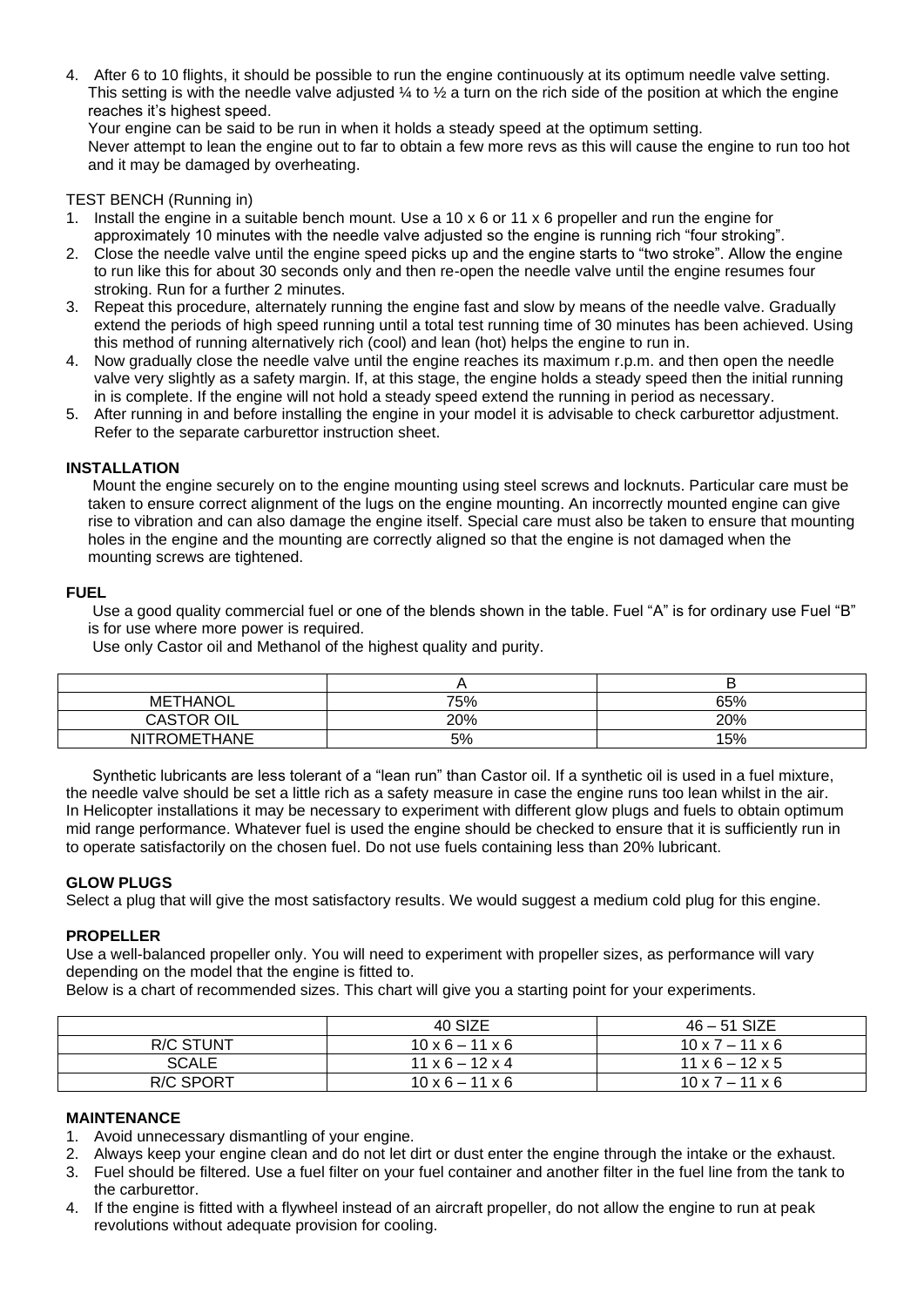4. After 6 to 10 flights, it should be possible to run the engine continuously at its optimum needle valve setting. This setting is with the needle valve adjusted  $\frac{1}{4}$  to  $\frac{1}{2}$  a turn on the rich side of the position at which the engine reaches it's highest speed.

Your engine can be said to be run in when it holds a steady speed at the optimum setting. Never attempt to lean the engine out to far to obtain a few more revs as this will cause the engine to run too hot and it may be damaged by overheating.

#### TEST BENCH (Running in)

- 1. Install the engine in a suitable bench mount. Use a 10 x 6 or 11 x 6 propeller and run the engine for approximately 10 minutes with the needle valve adjusted so the engine is running rich "four stroking".
- 2. Close the needle valve until the engine speed picks up and the engine starts to "two stroke". Allow the engine to run like this for about 30 seconds only and then re-open the needle valve until the engine resumes four stroking. Run for a further 2 minutes.
- 3. Repeat this procedure, alternately running the engine fast and slow by means of the needle valve. Gradually extend the periods of high speed running until a total test running time of 30 minutes has been achieved. Using this method of running alternatively rich (cool) and lean (hot) helps the engine to run in.
- 4. Now gradually close the needle valve until the engine reaches its maximum r.p.m. and then open the needle valve very slightly as a safety margin. If, at this stage, the engine holds a steady speed then the initial running in is complete. If the engine will not hold a steady speed extend the running in period as necessary.
- 5. After running in and before installing the engine in your model it is advisable to check carburettor adjustment. Refer to the separate carburettor instruction sheet.

#### **INSTALLATION**

Mount the engine securely on to the engine mounting using steel screws and locknuts. Particular care must be taken to ensure correct alignment of the lugs on the engine mounting. An incorrectly mounted engine can give rise to vibration and can also damage the engine itself. Special care must also be taken to ensure that mounting holes in the engine and the mounting are correctly aligned so that the engine is not damaged when the mounting screws are tightened.

#### **FUEL**

Use a good quality commercial fuel or one of the blends shown in the table. Fuel "A" is for ordinary use Fuel "B" is for use where more power is required.

Use only Castor oil and Methanol of the highest quality and purity.

| <b>METHANOL</b>      | 75% | 65% |
|----------------------|-----|-----|
| <b>CASTOR</b><br>OIL | 20% | 20% |
| NITROMETHANE         | 5%  | 15% |

Synthetic lubricants are less tolerant of a "lean run" than Castor oil. If a synthetic oil is used in a fuel mixture, the needle valve should be set a little rich as a safety measure in case the engine runs too lean whilst in the air. In Helicopter installations it may be necessary to experiment with different glow plugs and fuels to obtain optimum mid range performance. Whatever fuel is used the engine should be checked to ensure that it is sufficiently run in to operate satisfactorily on the chosen fuel. Do not use fuels containing less than 20% lubricant.

### **GLOW PLUGS**

Select a plug that will give the most satisfactory results. We would suggest a medium cold plug for this engine.

#### **PROPELLER**

Use a well-balanced propeller only. You will need to experiment with propeller sizes, as performance will vary depending on the model that the engine is fitted to.

Below is a chart of recommended sizes. This chart will give you a starting point for your experiments.

|                  | 40 SIZE                     | $46 - 51$ SIZE              |
|------------------|-----------------------------|-----------------------------|
| R/C STUNT        | $10 \times 6 - 11 \times 6$ | $10 \times 7 - 11 \times 6$ |
| <b>SCALE</b>     | $11 \times 6 - 12 \times 4$ | $11 \times 6 - 12 \times 5$ |
| <b>R/C SPORT</b> | $10 \times 6 - 11 \times 6$ | $10 \times 7 - 11 \times 6$ |

#### **MAINTENANCE**

- 1. Avoid unnecessary dismantling of your engine.
- 2. Always keep your engine clean and do not let dirt or dust enter the engine through the intake or the exhaust.
- 3. Fuel should be filtered. Use a fuel filter on your fuel container and another filter in the fuel line from the tank to the carburettor.
- 4. If the engine is fitted with a flywheel instead of an aircraft propeller, do not allow the engine to run at peak revolutions without adequate provision for cooling.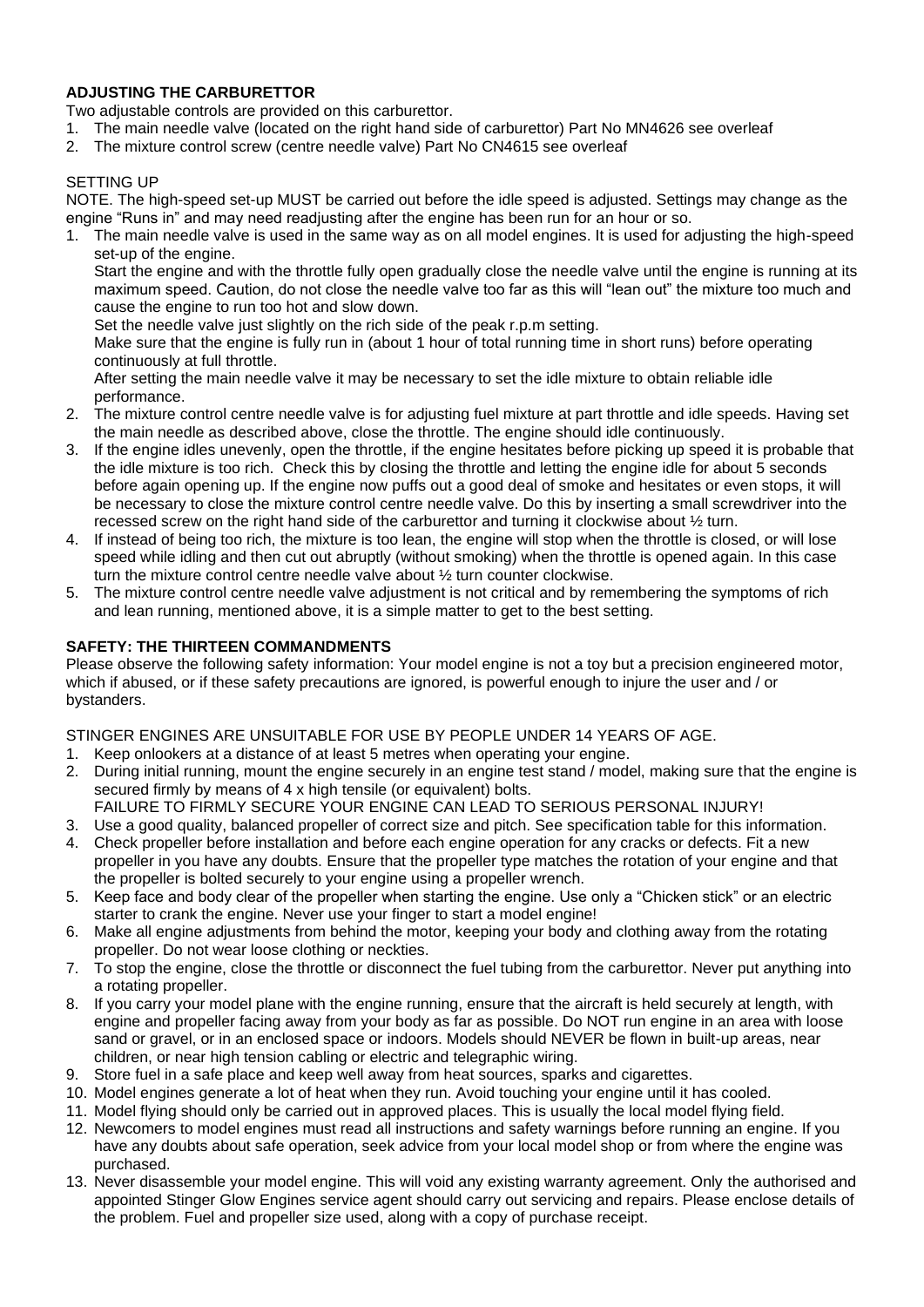## **ADJUSTING THE CARBURETTOR**

Two adjustable controls are provided on this carburettor.

- 1. The main needle valve (located on the right hand side of carburettor) Part No MN4626 see overleaf
- 2. The mixture control screw (centre needle valve) Part No CN4615 see overleaf

## SETTING UP

NOTE. The high-speed set-up MUST be carried out before the idle speed is adjusted. Settings may change as the engine "Runs in" and may need readjusting after the engine has been run for an hour or so.

1. The main needle valve is used in the same way as on all model engines. It is used for adjusting the high-speed set-up of the engine.

Start the engine and with the throttle fully open gradually close the needle valve until the engine is running at its maximum speed. Caution, do not close the needle valve too far as this will "lean out" the mixture too much and cause the engine to run too hot and slow down.

Set the needle valve just slightly on the rich side of the peak r.p.m setting.

Make sure that the engine is fully run in (about 1 hour of total running time in short runs) before operating continuously at full throttle.

After setting the main needle valve it may be necessary to set the idle mixture to obtain reliable idle performance.

- 2. The mixture control centre needle valve is for adjusting fuel mixture at part throttle and idle speeds. Having set the main needle as described above, close the throttle. The engine should idle continuously.
- 3. If the engine idles unevenly, open the throttle, if the engine hesitates before picking up speed it is probable that the idle mixture is too rich. Check this by closing the throttle and letting the engine idle for about 5 seconds before again opening up. If the engine now puffs out a good deal of smoke and hesitates or even stops, it will be necessary to close the mixture control centre needle valve. Do this by inserting a small screwdriver into the recessed screw on the right hand side of the carburettor and turning it clockwise about ½ turn.
- 4. If instead of being too rich, the mixture is too lean, the engine will stop when the throttle is closed, or will lose speed while idling and then cut out abruptly (without smoking) when the throttle is opened again. In this case turn the mixture control centre needle valve about ½ turn counter clockwise.
- 5. The mixture control centre needle valve adjustment is not critical and by remembering the symptoms of rich and lean running, mentioned above, it is a simple matter to get to the best setting.

## **SAFETY: THE THIRTEEN COMMANDMENTS**

Please observe the following safety information: Your model engine is not a toy but a precision engineered motor, which if abused, or if these safety precautions are ignored, is powerful enough to injure the user and / or bystanders.

STINGER ENGINES ARE UNSUITABLE FOR USE BY PEOPLE UNDER 14 YEARS OF AGE.

- 1. Keep onlookers at a distance of at least 5 metres when operating your engine.
- 2. During initial running, mount the engine securely in an engine test stand / model, making sure that the engine is secured firmly by means of 4 x high tensile (or equivalent) bolts.
- FAILURE TO FIRMLY SECURE YOUR ENGINE CAN LEAD TO SERIOUS PERSONAL INJURY!
- 3. Use a good quality, balanced propeller of correct size and pitch. See specification table for this information.
- 4. Check propeller before installation and before each engine operation for any cracks or defects. Fit a new propeller in you have any doubts. Ensure that the propeller type matches the rotation of your engine and that the propeller is bolted securely to your engine using a propeller wrench.
- 5. Keep face and body clear of the propeller when starting the engine. Use only a "Chicken stick" or an electric starter to crank the engine. Never use your finger to start a model engine!
- 6. Make all engine adjustments from behind the motor, keeping your body and clothing away from the rotating propeller. Do not wear loose clothing or neckties.
- 7. To stop the engine, close the throttle or disconnect the fuel tubing from the carburettor. Never put anything into a rotating propeller.
- 8. If you carry your model plane with the engine running, ensure that the aircraft is held securely at length, with engine and propeller facing away from your body as far as possible. Do NOT run engine in an area with loose sand or gravel, or in an enclosed space or indoors. Models should NEVER be flown in built-up areas, near children, or near high tension cabling or electric and telegraphic wiring.
- 9. Store fuel in a safe place and keep well away from heat sources, sparks and cigarettes.
- 10. Model engines generate a lot of heat when they run. Avoid touching your engine until it has cooled.
- 11. Model flying should only be carried out in approved places. This is usually the local model flying field.
- 12. Newcomers to model engines must read all instructions and safety warnings before running an engine. If you have any doubts about safe operation, seek advice from your local model shop or from where the engine was purchased.
- 13. Never disassemble your model engine. This will void any existing warranty agreement. Only the authorised and appointed Stinger Glow Engines service agent should carry out servicing and repairs. Please enclose details of the problem. Fuel and propeller size used, along with a copy of purchase receipt.